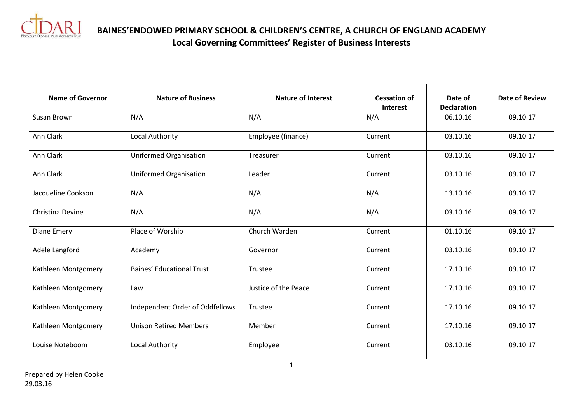

**BAINES'ENDOWED PRIMARY SCHOOL & CHILDREN'S CENTRE, A CHURCH OF ENGLAND ACADEMY Local Governing Committees' Register of Business Interests**

| <b>Name of Governor</b> | <b>Nature of Business</b>        | <b>Nature of Interest</b> | <b>Cessation of</b><br><b>Interest</b> | Date of<br><b>Declaration</b> | <b>Date of Review</b> |
|-------------------------|----------------------------------|---------------------------|----------------------------------------|-------------------------------|-----------------------|
| Susan Brown             | N/A                              | N/A                       | N/A                                    | 06.10.16                      | 09.10.17              |
| Ann Clark               | Local Authority                  | Employee (finance)        | Current                                | 03.10.16                      | 09.10.17              |
| Ann Clark               | <b>Uniformed Organisation</b>    | Treasurer                 | Current                                | 03.10.16                      | 09.10.17              |
| Ann Clark               | <b>Uniformed Organisation</b>    | Leader                    | Current                                | 03.10.16                      | 09.10.17              |
| Jacqueline Cookson      | N/A                              | N/A                       | N/A                                    | 13.10.16                      | 09.10.17              |
| Christina Devine        | N/A                              | N/A                       | N/A                                    | 03.10.16                      | 09.10.17              |
| Diane Emery             | Place of Worship                 | Church Warden             | Current                                | 01.10.16                      | 09.10.17              |
| Adele Langford          | Academy                          | Governor                  | Current                                | 03.10.16                      | 09.10.17              |
| Kathleen Montgomery     | <b>Baines' Educational Trust</b> | Trustee                   | Current                                | 17.10.16                      | 09.10.17              |
| Kathleen Montgomery     | Law                              | Justice of the Peace      | Current                                | 17.10.16                      | 09.10.17              |
| Kathleen Montgomery     | Independent Order of Oddfellows  | Trustee                   | Current                                | 17.10.16                      | 09.10.17              |
| Kathleen Montgomery     | <b>Unison Retired Members</b>    | Member                    | Current                                | 17.10.16                      | 09.10.17              |
| Louise Noteboom         | <b>Local Authority</b>           | Employee                  | Current                                | 03.10.16                      | 09.10.17              |